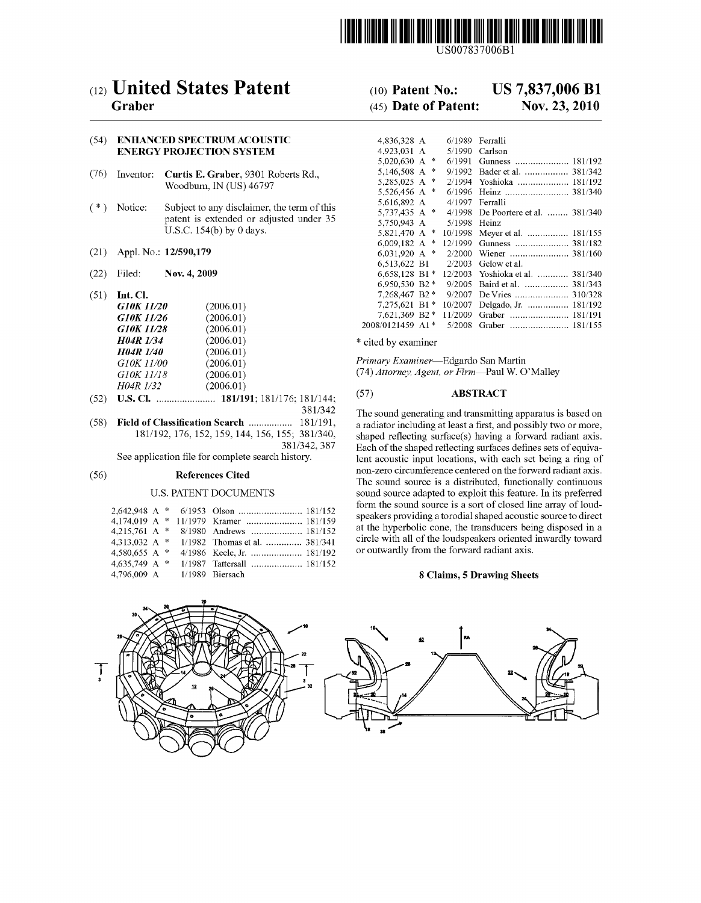

US007837006B1

# (12) United States Patent

## Graber

#### (54) ENHANCED SPECTRUMACOUSTIC ENERGY PROJECTION SYSTEM

- (76) Inventor: Curtis E. Graber, 9301 Roberts Rd., Woodburn, IN (US) 46797
- (\*) Notice: Subject to any disclaimer, the term of this patent is extended or adjusted under 35 U.S.C. 154(b) by 0 days.
- (21) Appl. No.: 12/590,179
- (22) Filed: Nov. 4, 2009
- (51) Int. Cl.

| G10K 11/20       | (2006.01) |
|------------------|-----------|
| G10K 11/26       | (2006.01) |
| G10K 11/28       | (2006.01) |
| <b>H04R 1/34</b> | (2006.01) |
| <b>H04R 1/40</b> | (2006.01) |
| G10K 11/00       | (2006.01) |
| G10K 11/18       | (2006.01) |
| H04R 1/32        | (2006.01) |
|                  |           |

- (52) U.S. Cl. ....................... 181/191; 181/176; 181/144: 381/342
- (58) Field of Classification Search ................. 181/191, 181/192, 176, 152, 159, 144, 156, 155; 381/340, 381/342,387

See application file for complete search history.

#### (56) References Cited

#### U.S. PATENT DOCUMENTS

|                             |  | 4.174.019 A * 11/1979 Kramer  181/159 |
|-----------------------------|--|---------------------------------------|
|                             |  |                                       |
| 4.313.032 A $*$             |  | 1/1982 Thomas et al.  381/341         |
| 4.580,655 A $*$             |  | 4/1986 Keele, Jr.  181/192            |
| 4,635,749 A $*$             |  | 1/1987 Tattersall  181/152            |
| 4.796.009 A 1/1989 Biersach |  |                                       |

# (10) Patent No.: US 7,837,006 B1<br>(45) Date of Patent: Nov. 23, 2010

### $(45)$  Date of Patent:

| 4.836.328 A    |               | 6/1989  | Ferralli                    |
|----------------|---------------|---------|-----------------------------|
| 4.923.031      | A             | 5/1990  | Carlson                     |
| 5,020,630 A    | ∗             | 6/1991  | Gunness  181/192            |
| 5.146.508 A    | $\frac{1}{2}$ | 9/1992  | Bader et al.  381/342       |
| 5,285,025 A    | ∗             | 2/1994  | Yoshioka  181/192           |
| 5,526,456 A    | 永             | 6/1996  | Heinz  381/340              |
| 5.616.892 A    |               | 4/1997  | Ferralli                    |
| 5,737,435 A    | 咏             | 4/1998  | De Poortere et al.  381/340 |
| 5,750,943 A    |               | 5/1998  | Heinz                       |
| 5.821.470 A    | 咏             | 10/1998 | Meyer et al.  181/155       |
| 6,009,182 A    | 永             | 12/1999 |                             |
| 6.031.920 A    | 咏             | 2/2000  | Wiener  381/160             |
| 6.513.622 B1   |               | 2/2003  | Gelow et al.                |
| 6.658.128 B1*  |               | 12/2003 | Yoshioka et al.  381/340    |
| 6.950.530      | $B2*$         | 9/2005  | Baird et al.  381/343       |
| 7.268.467 B2*  |               | 9/2007  | 310/328<br>De Vries         |
| 7.275.621      | $B1*$         | 10/2007 | Delgado, Jr.  181/192       |
| 7.621.369 B2 * |               | 11/2009 | Graber                      |
| 2008/0121459   | 申<br>A1       | 5/2008  | Graber<br>181/155           |

\* cited by examiner

Primary Examiner-Edgardo San Martin (74) Attorney, Agent, or Firm-Paul W. O'Malley

#### (57) ABSTRACT

The sound generating and transmitting apparatus is based on a radiator including at least a first, and possibly two or more, shaped reflecting surface(s) having a forward radiant axis. Each of the shaped reflecting surfaces defines sets of equiva lent acoustic input locations, with each set being a ring of non-Zero circumference centered on the forward radiant axis. The sound source is a distributed, functionally continuous sound source adapted to exploit this feature. In its preferred form the sound source is a sort of closed line array of loud speakers providing a torodial shaped acoustic source to direct at the hyperbolic cone, the transducers being disposed in a circle with all of the loudspeakers oriented inwardly toward or outwardly from the forward radiant axis.

#### 8 Claims, 5 Drawing Sheets

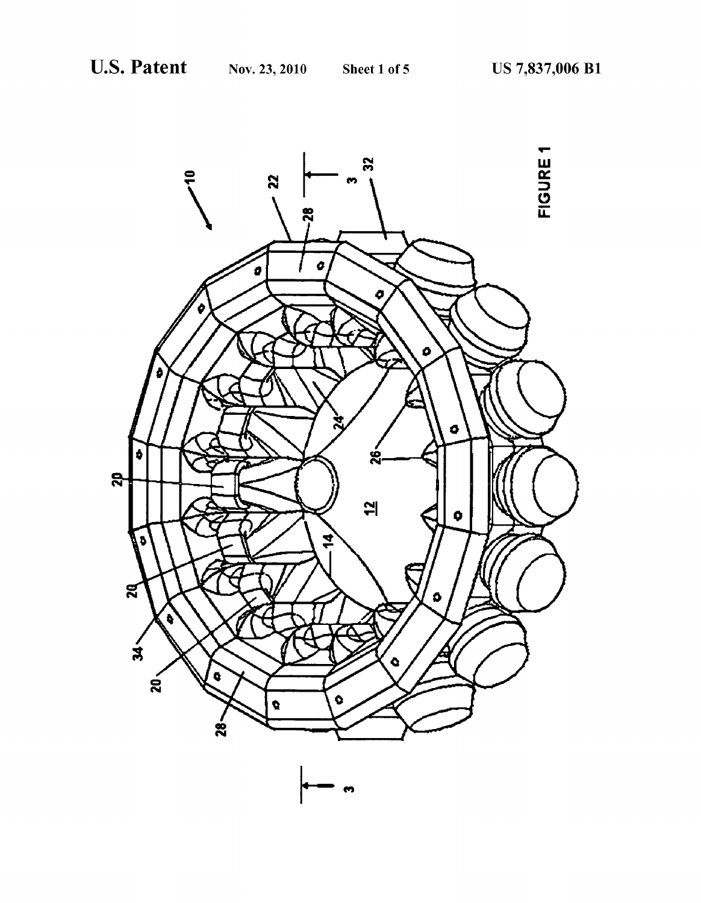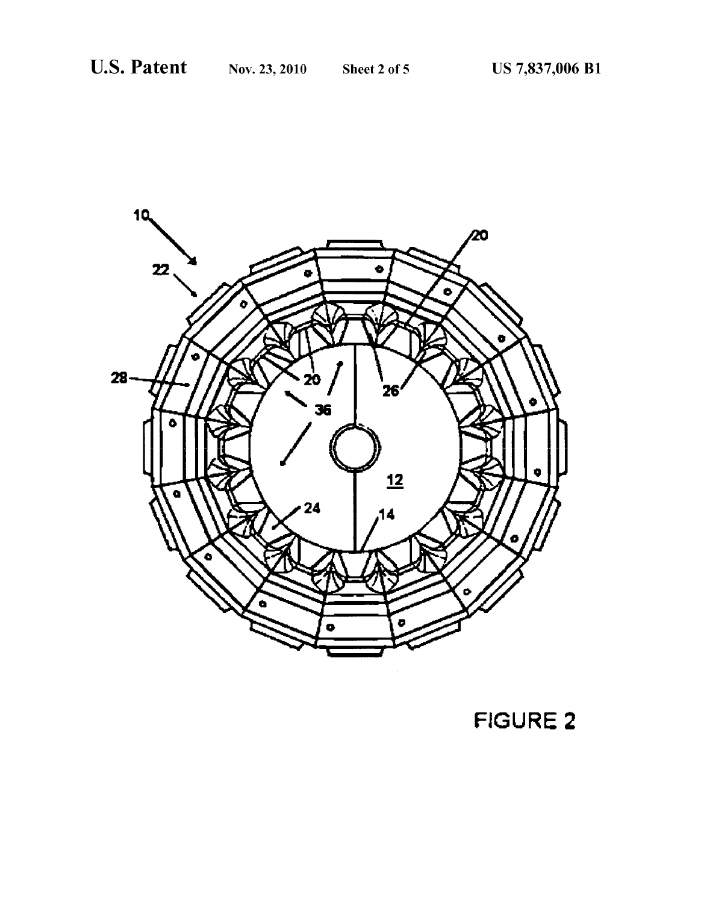

FIGURE 2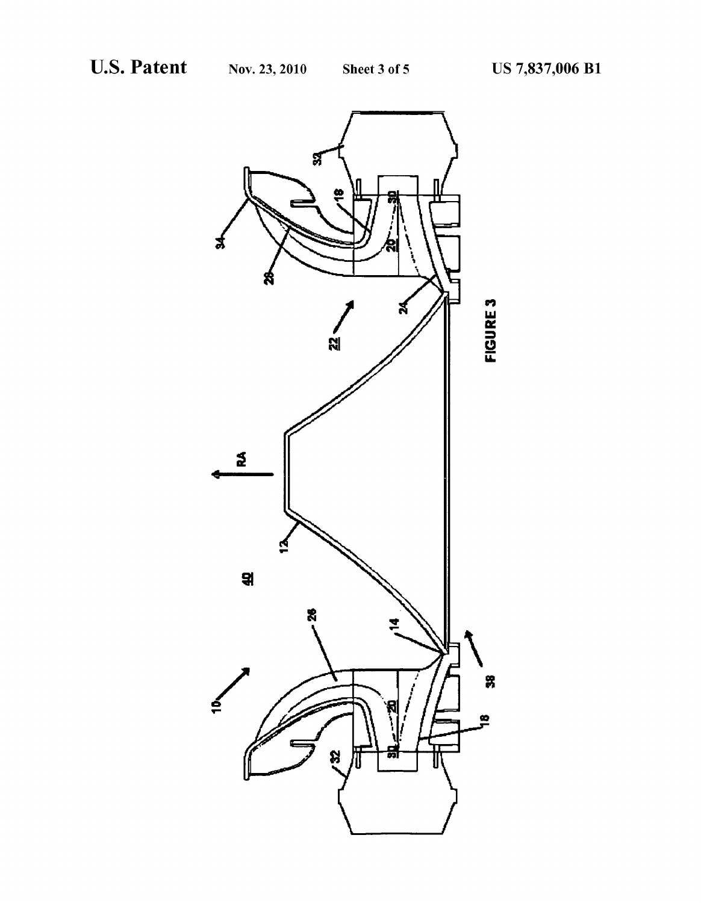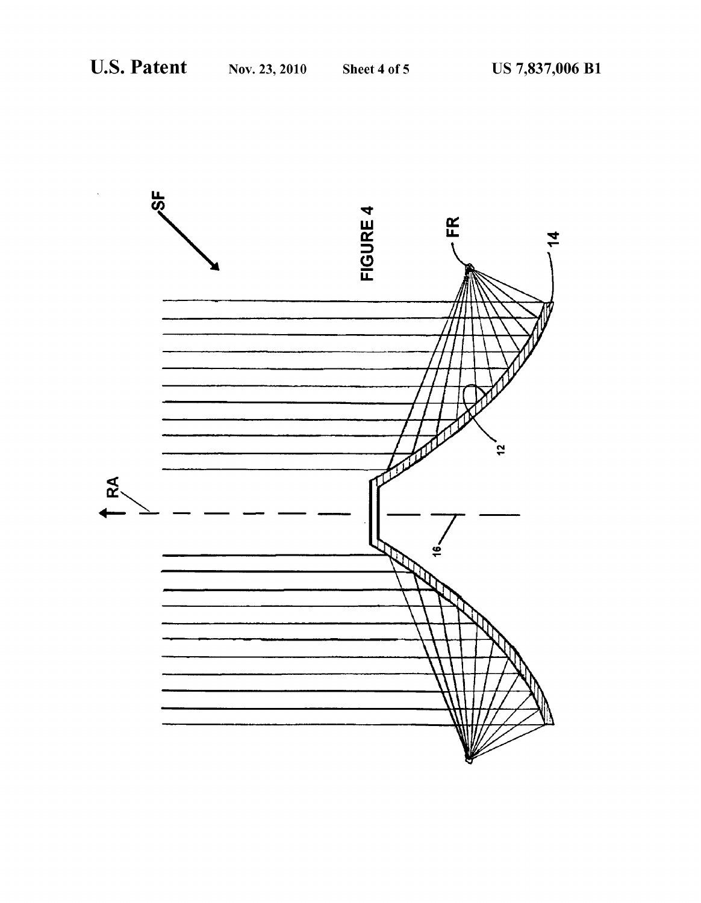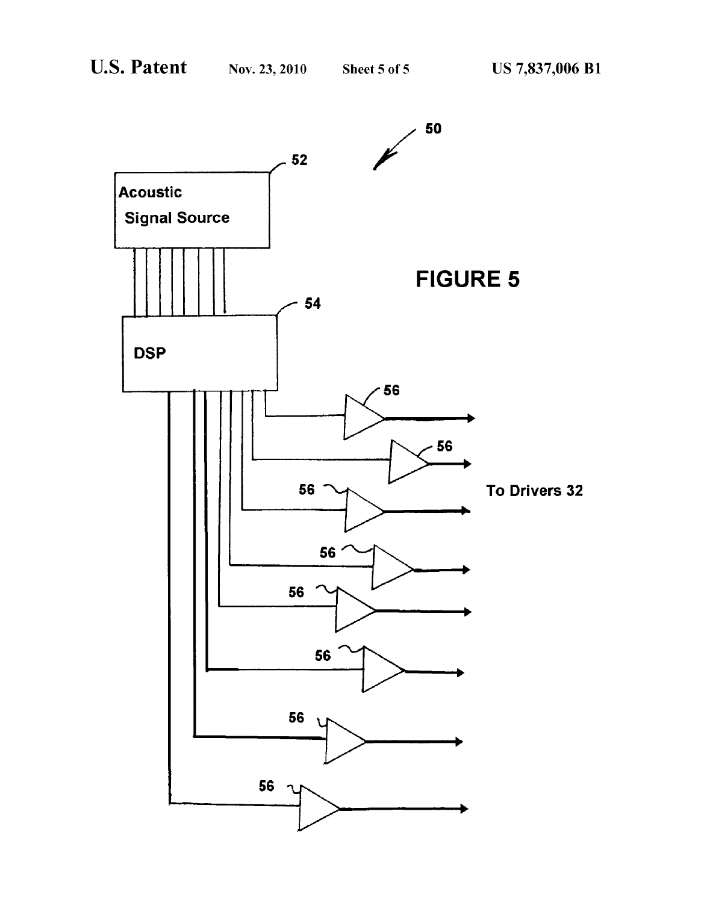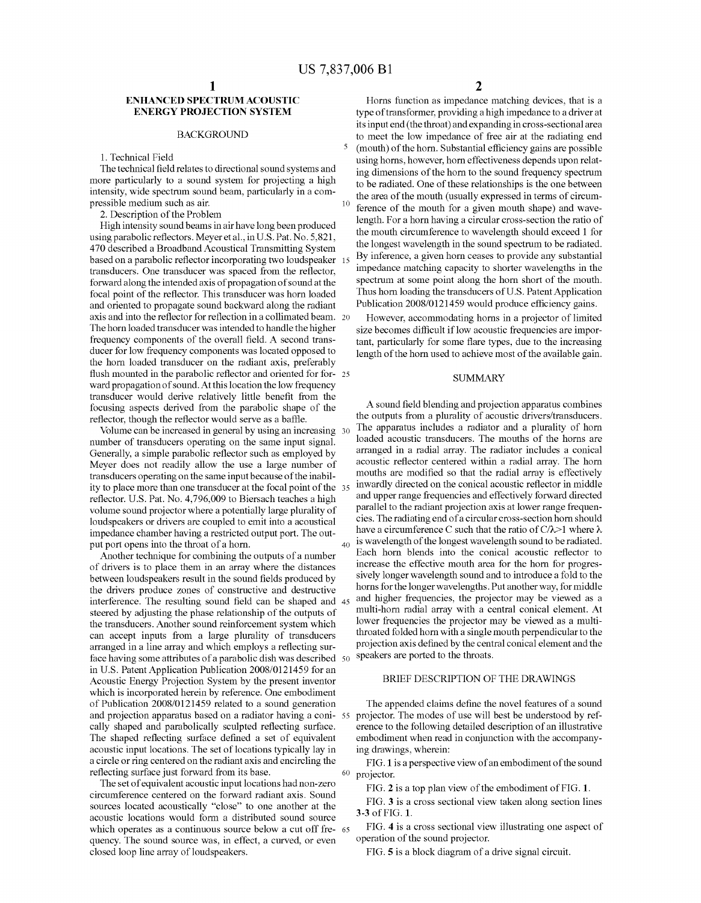10

40

#### ENHANCED SPECTRUMACOUSTIC ENERGY PROJECTION SYSTEM

#### BACKGROUND

1. Technical Field

The technical field relates to directional sound systems and more particularly to a sound system for projecting a high intensity, wide spectrum sound beam, particularly in a compressible medium such as air.

2. Description of the Problem

High intensity sound beams in air have long been produced using parabolic reflectors. Meyer et al., in U.S. Pat. No. 5,821, 470 described a Broadband Acoustical Transmitting System based on a parabolic reflector incorporating two loudspeaker 15 transducers. One transducer was spaced from the reflector, forward along the intended axis of propagation of sound at the focal point of the reflector. This transducer was horn loaded and oriented to propagate sound backward along the radiant axis and into the reflector for reflection in a collimated beam. The horn loaded transducer was intended to handle the higher frequency components of the overall field. A second trans ducer for low frequency components was located opposed to the horn loaded transducer on the radiant axis, preferably flush mounted in the parabolic reflector and oriented for for- 25 ward propagation of sound. At this location the low frequency transducer would derive relatively little benefit from the focusing aspects derived from the parabolic shape of the reflector, though the reflector would serve as a baffle.

Volume can be increased in general by using an increasing 30 number of transducers operating on the same input signal. Generally, a simple parabolic reflector such as employed by Meyer does not readily allow the use a large number of transducers operating on the same input because of the inabil ity to place more than one transducer at the focal point of the 35 reflector. U.S. Pat. No. 4,796,009 to Biersach teaches a high volume sound projector where a potentially large plurality of loudspeakers or drivers are coupled to emit into a acoustical impedance chamber having a restricted output port. The out put port opens into the throat of a horn.

Another technique for combining the outputs of a number of drivers is to place them in an array where the distances between loudspeakers result in the sound fields produced by the drivers produce Zones of constructive and destructive interference. The resulting sound field can be shaped and 45 steered by adjusting the phase relationship of the outputs of the transducers. Another sound reinforcement system which can accept inputs from a large plurality of transducers arranged in a line array and which employs a reflecting surface having some attributes of a parabolic dish was described 50 in U.S. Patent Application Publication 2008/0121459 for an Acoustic Energy Projection System by the present inventor which is incorporated herein by reference. One embodiment of Publication 2008/0121459 related to a sound generation of Publication 2008/0121459 related to a sound generation and projector. The appended claims define the novel leatures of a sound and projection apparatus based on a radiator having a coni- 55 projector. The modes of use w cally shaped and parabolically sculpted reflecting surface. The shaped reflecting surface defined a set of equivalent acoustic input locations. The set of locations typically lay in a circle or ring centered on the radiant axis and encircling the reflecting surface just forward from its base.

The set of equivalent acoustic input locations had non-zero circumference centered on the forward radiant axis. Sound sources located acoustically "close' to one another at the acoustic locations would form a distributed sound source which operates as a continuous source below a cut off free 65 quency. The sound source was, in effect, a curved, or even closed loop line array of loudspeakers.

2

Horns function as impedance matching devices, that is a type of transformer, providing a high impedance to a driver at its input end (the throat) and expanding in cross-sectional area to meet the low impedance of free air at the radiating end (mouth) of the horn. Substantial efficiency gains are possible using horns, however, horn effectiveness depends upon relat ing dimensions of the horn to the sound frequency spectrum to be radiated. One of these relationships is the one between the area of the mouth (usually expressed in terms of circum ference of the mouth for a given mouth shape) and wave length. For a horn having a circular cross-section the ratio of the mouth circumference to wavelength should exceed 1 for the longest wavelength in the sound spectrum to be radiated. By inference, a given horn ceases to provide any substantial impedance matching capacity to shorter wavelengths in the spectrum at some point along the horn short of the mouth. Thus horn loading the transducers of U.S. Patent Application Publication 2008/0121459 would produce efficiency gains.

However, accommodating horns in a projector of limited size becomes difficult if low acoustic frequencies are important, particularly for some flare types, due to the increasing length of the horn used to achieve most of the available gain.

#### **SUMMARY**

A sound field blending and projection apparatus combines the outputs from a plurality of acoustic drivers/transducers. The apparatus includes a radiator and a plurality of horn loaded acoustic transducers. The mouths of the horns are arranged in a radial array. The radiator includes a conical acoustic reflector centered within a radial array. The horn mouths are modified so that the radial array is effectively inwardly directed on the conical acoustic reflector in middle and upper range frequencies and effectively forward directed parallel to the radiant projection axis at lower range frequen cies. The radiating end of a circular cross-section horn should have a circumference C such that the ratio of C $\lambda$ >1 where  $\lambda$ is wavelength of the longest wavelength sound to be radiated. Each horn blends into the conical acoustic reflector to increase the effective mouth area for the horn for progres sively longer wavelength sound and to introduce a fold to the horns for the longer wavelengths. Put another way, for middle and higher frequencies, the projector may be viewed as a multi-horn radial array with a central conical element. At lower frequencies the projector may be viewed as a multi throated folded horn with a single mouth perpendicular to the projection axis defined by the central conical element and the speakers are ported to the throats.

#### BRIEF DESCRIPTION OF THE DRAWINGS

The appended claims define the novel features of a sound erence to the following detailed description of an illustrative embodiment when read in conjunction with the accompanying drawings, wherein:

<sup>60</sup> projector. FIG. 1 is a perspective view of an embodiment of the sound

FIG. 2 is a top plan view of the embodiment of FIG. 1.

FIG. 3 is a cross sectional view taken along section lines 3-3 of FIG. 1.

FIG. 4 is a cross sectional view illustrating one aspect of operation of the Sound projector.

FIG. 5 is a block diagram of a drive signal circuit.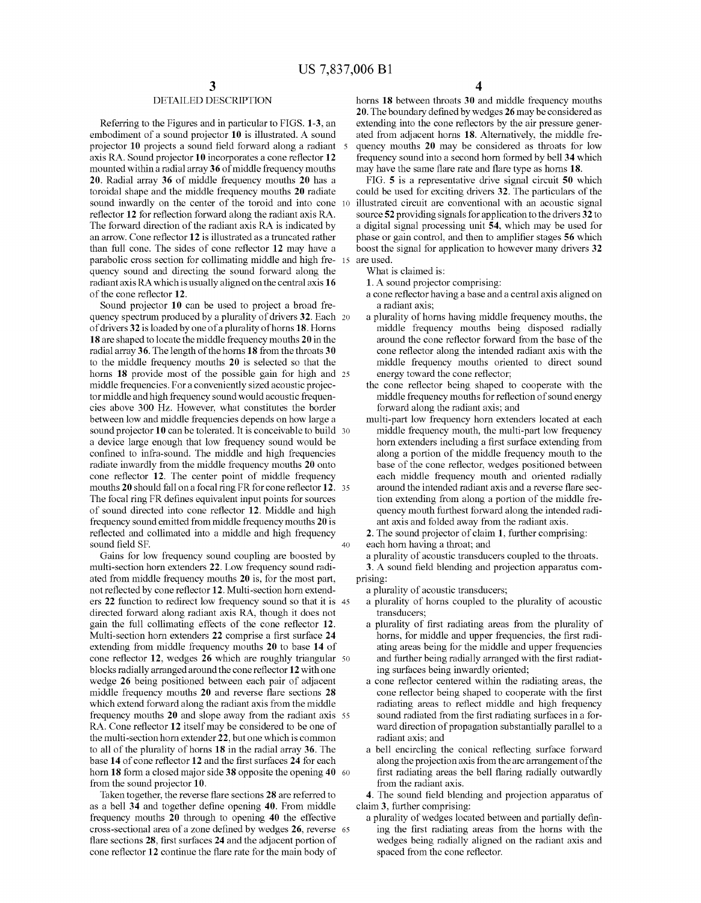#### DETAILED DESCRIPTION

Referring to the Figures and in particular to FIGS. 1-3, an embodiment of a sound projector 10 is illustrated. A sound projector 10 projects a Sound field forward along a radiant 5 axis RA. Sound projector 10 incorporates a cone reflector 12 mounted within a radial array 36 of middle frequency mouths 20. Radial array 36 of middle frequency mouths 20 has a toroidal shape and the middle frequency mouths 20 radiate sound inwardly on the center of the toroid and into cone 10 reflector 12 for reflection forward along the radiant axis RA.<br>The forward direction of the radiant axis RA is indicated by an arrow. Cone reflector 12 is illustrated as a truncated rather than full cone. The sides of cone reflector 12 may have a parabolic cross section for collimating middle and high fre- 15 quency sound and directing the sound forward along the radiant axis RA which is usually aligned on the central axis 16 of the cone reflector 12.

Sound projector 10 can be used to project a broad fre quency spectrum produced by a plurality of drivers 32. Each 20 of drivers 32 is loaded by one of a plurality of horns 18. Horns 18 are shaped to locate the middle frequency mouths 20 in the radial array36. The length of the horns 18 from the throats 30 to the middle frequency mouths 20 is selected so that the horns **18** provide most of the possible gain for high and 25 middle frequencies. For a conveniently sized acoustic projec tor middle and high frequency sound would acoustic frequen cies above 300 Hz. However, what constitutes the border between low and middle frequencies depends on how large a sound projector 10 can be tolerated. It is conceivable to build 30 a device large enough that low frequency sound would be radiate inwardly from the middle frequency mouths 20 onto cone reflector 12. The center point of middle frequency mouths 20 should fall on a focal ring FR for cone reflector 12. 35 The focal ring FR defines equivalent input points for sources of sound directed into cone reflector 12. Middle and high frequency sound emitted from middle frequency mouths 20 is reflected and collimated into a middle and high frequency sound field SF. 40

Gains for low frequency sound coupling are boosted by multi-section horn extenders 22. Low frequency sound radiated from middle frequency mouths 20 is, for the most part, not reflected by cone reflector 12. Multi-section horn extend ers 22 function to redirect low frequency sound so that it is 45 directed forward along radiant axis RA, though it does not gain the full collimating effects of the cone reflector 12. Multi-section horn extenders 22 comprise a first surface 24 extending from middle frequency mouths 20 to base 14 of cone reflector 12, wedges 26 which are roughly triangular 50 blocks radially arranged around the cone reflector 12 with one wedge 26 being positioned between each pair of adjacent middle frequency mouths 20 and reverse flare sections 28 which extend forward along the radiant axis from the middle frequency mouths 20 and slope away from the radiant axis 55 RA. Cone reflector 12 itself may be considered to be one of the multi-section horn extender 22, but one which is common to all of the plurality of horns 18 in the radial array 36. The base 14 of cone reflector 12 and the first surfaces 24 for each horn 18 form a closed major side 38 opposite the opening 40 60 from the sound projector 10.

Taken together, the reverse flare sections 28 are referred to as a bell 34 and together define opening 40. From middle frequency mouths 20 through to opening 40 the effective cross-sectional area of a Zone defined by wedges 26, reverse 65 flare sections 28, first surfaces 24 and the adjacent portion of cone reflector 12 continue the flare rate for the main body of

4

horns 18 between throats 30 and middle frequency mouths 20. The boundary defined by wedges 26 may be considered as extending into the cone reflectors by the air pressure gener ated from adjacent horns 18. Alternatively, the middle fre quency mouths 20 may be considered as throats for low frequency sound into a second horn formed by bell 34 which may have the same flare rate and flare type as horns 18.

FIG. 5 is a representative drive signal circuit 50 which could be used for exciting drivers 32. The particulars of the illustrated circuit are conventional with an acoustic signal source 52 providing signals for application to the drivers 32 to a digital signal processing unit 54, which may be used for phase or gain control, and then to amplifier stages 56 which boost the signal for application to however many drivers 32

What is claimed is:

1. A sound projector comprising:

a cone reflector having a base and a central axis aligned on a radiant axis;

- a plurality of horns having middle frequency mouths, the middle frequency mouths being disposed radially around the cone reflector forward from the base of the cone reflector along the intended radiant axis with the middle frequency mouths oriented to direct sound energy toward the cone reflector,
- the cone reflector being shaped to cooperate with the middle frequency mouths for reflection of sound energy forward along the radiant axis; and
- multi-part low frequency horn extenders located at each middle frequency mouth, the multi-part low frequency horn extenders including a first Surface extending from along a portion of the middle frequency mouth to the base of the cone reflector, wedges positioned between each middle frequency mouth and oriented radially around the intended radiant axis and a reverse flare sec tion extending from along a portion of the middle fre quency mouth furthest forward along the intended radi ant axis and folded away from the radiant axis.

2. The sound projector of claim 1, further comprising:

each horn having a throat; and

a plurality of acoustic transducers coupled to the throats. 3. A sound field blending and projection apparatus com

prising:

a plurality of acoustic transducers;

- a plurality of horns coupled to the plurality of acoustic transducers;
- a plurality of first radiating areas from the plurality of horns, for middle and upper frequencies, the first radi ating areas being for the middle and upper frequencies and further being radially arranged with the first radiat ing surfaces being inwardly oriented;
- a cone reflector centered within the radiating areas, the cone reflector being shaped to cooperate with the first radiating areas to reflect middle and high frequency sound radiated from the first radiating surfaces in a forward direction of propagation substantially parallel to a radiant axis; and
- a bell encircling the conical reflecting surface forward along the projection axis from the arc arrangement of the first radiating areas the bell flaring radially outwardly from the radiant axis.

4. The sound field blending and projection apparatus of claim 3, further comprising:

a plurality of wedges located between and partially defin ing the first radiating areas from the horns with the wedges being radially aligned on the radiant axis and spaced from the cone reflector.